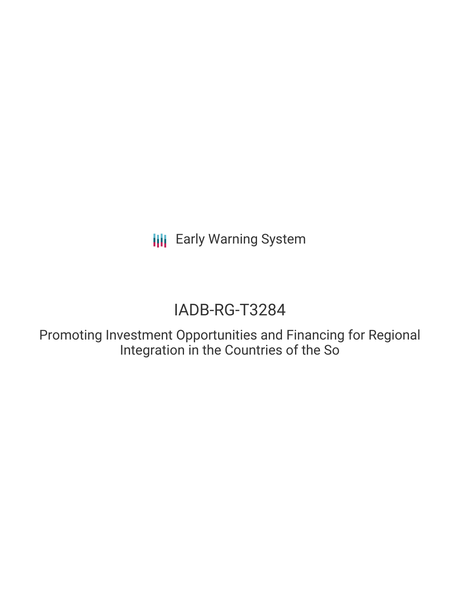**III** Early Warning System

# IADB-RG-T3284

Promoting Investment Opportunities and Financing for Regional Integration in the Countries of the So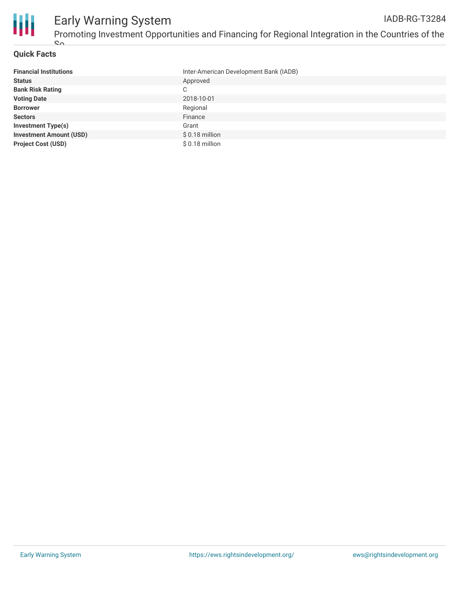

## **Quick Facts**

| <b>Financial Institutions</b>  | Inter-American Development Bank (IADB) |
|--------------------------------|----------------------------------------|
| <b>Status</b>                  | Approved                               |
| <b>Bank Risk Rating</b>        | C                                      |
| <b>Voting Date</b>             | 2018-10-01                             |
| <b>Borrower</b>                | Regional                               |
| <b>Sectors</b>                 | Finance                                |
| <b>Investment Type(s)</b>      | Grant                                  |
| <b>Investment Amount (USD)</b> | $$0.18$ million                        |
| <b>Project Cost (USD)</b>      | $$0.18$ million                        |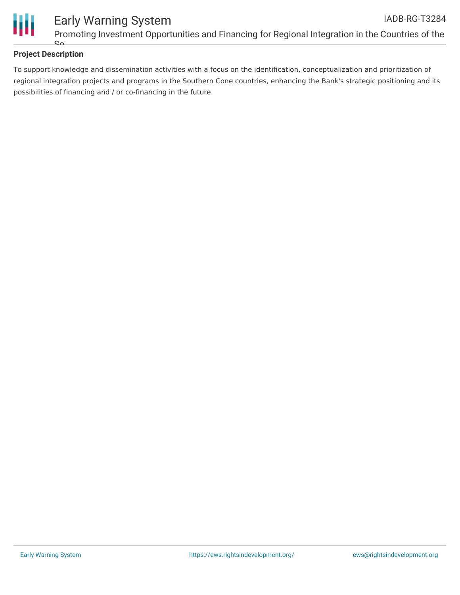

# **Project Description**

 $\mathbf{C}$ 

To support knowledge and dissemination activities with a focus on the identification, conceptualization and prioritization of regional integration projects and programs in the Southern Cone countries, enhancing the Bank's strategic positioning and its possibilities of financing and / or co-financing in the future.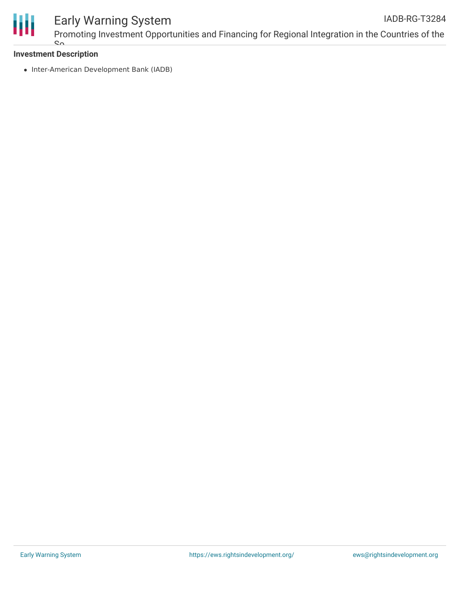

#### Early Warning System Promoting Investment Opportunities and Financing for Regional Integration in the Countries of the IADB-RG-T3284

## **Investment Description**  $\mathbf{S}$

• Inter-American Development Bank (IADB)